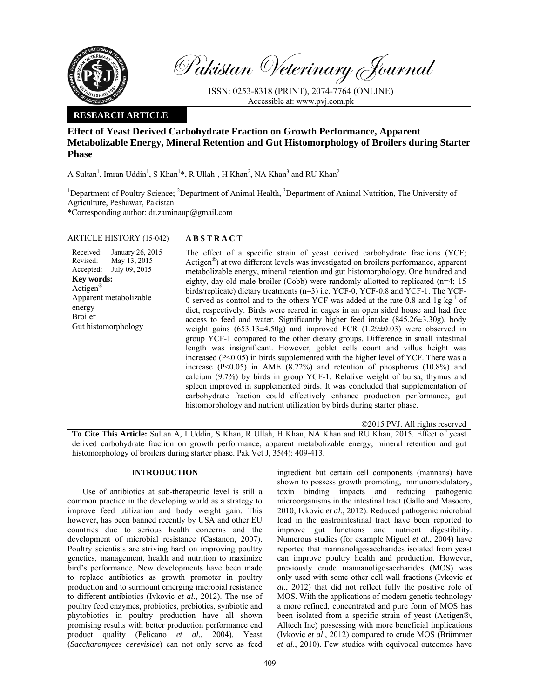

Pakistan Veterinary Journal

ISSN: 0253-8318 (PRINT), 2074-7764 (ONLINE) Accessible at: www.pvj.com.pk

# **RESEARCH ARTICLE**

# **Effect of Yeast Derived Carbohydrate Fraction on Growth Performance, Apparent Metabolizable Energy, Mineral Retention and Gut Histomorphology of Broilers during Starter Phase**

A Sultan<sup>1</sup>, Imran Uddin<sup>1</sup>, S Khan<sup>1</sup>\*, R Ullah<sup>1</sup>, H Khan<sup>2</sup>, NA Khan<sup>3</sup> and RU Khan<sup>2</sup>

<sup>1</sup>Department of Poultry Science; <sup>2</sup>Department of Animal Health, <sup>3</sup>Department of Animal Nutrition, The University of Agriculture, Peshawar, Pakistan

\*Corresponding author: dr.zaminaup@gmail.com

# ARTICLE HISTORY (15-042) **ABSTRACT**

#### Received: Revised: Accepted: January 26, 2015 May 13, 2015 July 09, 2015 **Key words:**  Actigen® Apparent metabolizable energy Broiler Gut histomorphology

 The effect of a specific strain of yeast derived carbohydrate fractions (YCF; Actigen®) at two different levels was investigated on broilers performance, apparent metabolizable energy, mineral retention and gut histomorphology. One hundred and eighty, day-old male broiler (Cobb) were randomly allotted to replicated (n=4; 15 birds/replicate) dietary treatments (n=3) i.e. YCF-0, YCF-0.8 and YCF-1. The YCF-0 served as control and to the others YCF was added at the rate  $0.8$  and  $1g\ kg^{-1}$  of diet, respectively. Birds were reared in cages in an open sided house and had free access to feed and water. Significantly higher feed intake (845.26±3.30g), body weight gains (653.13±4.50g) and improved FCR (1.29±0.03) were observed in group YCF-1 compared to the other dietary groups. Difference in small intestinal length was insignificant. However, goblet cells count and villus height was increased (P<0.05) in birds supplemented with the higher level of YCF. There was a increase (P<0.05) in AME (8.22%) and retention of phosphorus (10.8%) and calcium (9.7%) by birds in group YCF-1. Relative weight of bursa, thymus and spleen improved in supplemented birds. It was concluded that supplementation of carbohydrate fraction could effectively enhance production performance, gut histomorphology and nutrient utilization by birds during starter phase.

©2015 PVJ. All rights reserved

**To Cite This Article:** Sultan A, I Uddin, S Khan, R Ullah, H Khan, NA Khan and RU Khan, 2015. Effect of yeast derived carbohydrate fraction on growth performance, apparent metabolizable energy, mineral retention and gut histomorphology of broilers during starter phase. Pak Vet J, 35(4): 409-413.

## **INTRODUCTION**

Use of antibiotics at sub-therapeutic level is still a common practice in the developing world as a strategy to improve feed utilization and body weight gain. This however, has been banned recently by USA and other EU countries due to serious health concerns and the development of microbial resistance (Castanon, 2007). Poultry scientists are striving hard on improving poultry genetics, management, health and nutrition to maximize bird's performance. New developments have been made to replace antibiotics as growth promoter in poultry production and to surmount emerging microbial resistance to different antibiotics (Ivkovic *et al*., 2012). The use of poultry feed enzymes, probiotics, prebiotics, synbiotic and phytobiotics in poultry production have all shown promising results with better production performance end product quality (Pelicano *et al*., 2004). Yeast (*Saccharomyces cerevisiae*) can not only serve as feed

ingredient but certain cell components (mannans) have shown to possess growth promoting, immunomodulatory, toxin binding impacts and reducing pathogenic microorganisms in the intestinal tract (Gallo and Masoero, 2010; Ivkovic *et al*., 2012). Reduced pathogenic microbial load in the gastrointestinal tract have been reported to improve gut functions and nutrient digestibility. Numerous studies (for example Miguel *et al*., 2004) have reported that mannanoligosaccharides isolated from yeast can improve poultry health and production. However, previously crude mannanoligosaccharides (MOS) was only used with some other cell wall fractions (Ivkovic *et al*., 2012) that did not reflect fully the positive role of MOS. With the applications of modern genetic technology a more refined, concentrated and pure form of MOS has been isolated from a specific strain of yeast (Actigen®, Alltech Inc) possessing with more beneficial implications (Ivkovic *et al*., 2012) compared to crude MOS (Brümmer *et al*., 2010). Few studies with equivocal outcomes have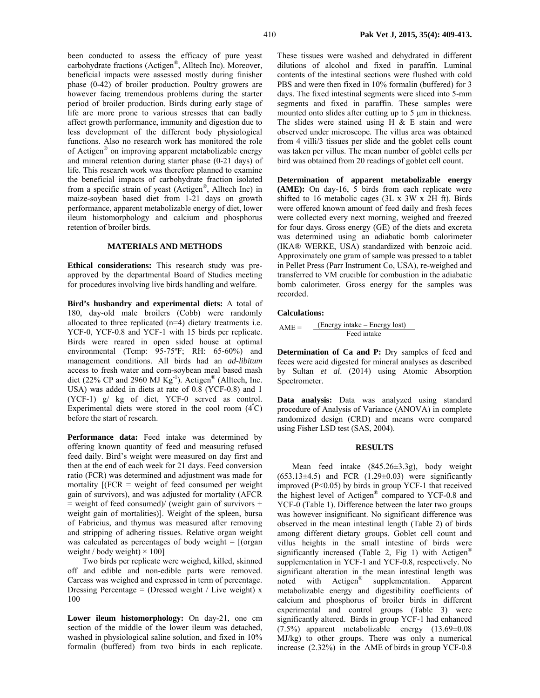been conducted to assess the efficacy of pure yeast carbohydrate fractions (Actigen®, Alltech Inc). Moreover, beneficial impacts were assessed mostly during finisher phase (0-42) of broiler production. Poultry growers are however facing tremendous problems during the starter period of broiler production. Birds during early stage of life are more prone to various stresses that can badly affect growth performance, immunity and digestion due to less development of the different body physiological functions. Also no research work has monitored the role of Actigen® on improving apparent metabolizable energy and mineral retention during starter phase (0-21 days) of life. This research work was therefore planned to examine the beneficial impacts of carbohydrate fraction isolated from a specific strain of yeast (Actigen®, Alltech Inc) in maize-soybean based diet from 1-21 days on growth performance, apparent metabolizable energy of diet, lower ileum histomorphology and calcium and phosphorus retention of broiler birds.

## **MATERIALS AND METHODS**

**Ethical considerations:** This research study was preapproved by the departmental Board of Studies meeting for procedures involving live birds handling and welfare.

**Bird's husbandry and experimental diets:** A total of 180, day-old male broilers (Cobb) were randomly allocated to three replicated (n=4) dietary treatments i.e. YCF-0, YCF-0.8 and YCF-1 with 15 birds per replicate. Birds were reared in open sided house at optimal environmental (Temp: 95-75ºF; RH: 65-60%) and management conditions. All birds had an *ad-libitum* access to fresh water and corn-soybean meal based mash diet (22% CP and 2960 MJ  $\text{Kg}^{-1}$ ). Actigen<sup>®</sup> (Alltech, Inc. USA) was added in diets at rate of 0.8 (YCF-0.8) and 1 (YCF-1) g/ kg of diet, YCF-0 served as control. Experimental diets were stored in the cool room  $(4^{\circ}C)$ before the start of research.

Performance data: Feed intake was determined by offering known quantity of feed and measuring refused feed daily. Bird's weight were measured on day first and then at the end of each week for 21 days. Feed conversion ratio (FCR) was determined and adjustment was made for mortality  $[$ (FCR = weight of feed consumed per weight gain of survivors), and was adjusted for mortality (AFCR  $=$  weight of feed consumed)/ (weight gain of survivors  $+$ weight gain of mortalities)]. Weight of the spleen, bursa of Fabricius, and thymus was measured after removing and stripping of adhering tissues. Relative organ weight was calculated as percentages of body weight  $=$  [(organ weight / body weight $) \times 100$ ]

Two birds per replicate were weighed, killed, skinned off and edible and non-edible parts were removed. Carcass was weighed and expressed in term of percentage. Dressing Percentage = (Dressed weight / Live weight)  $x$ 100

**Lower ileum histomorphology:** On day-21, one cm section of the middle of the lower ileum was detached, washed in physiological saline solution, and fixed in 10% formalin (buffered) from two birds in each replicate.

These tissues were washed and dehydrated in different dilutions of alcohol and fixed in paraffin. Luminal contents of the intestinal sections were flushed with cold PBS and were then fixed in 10% formalin (buffered) for 3 days. The fixed intestinal segments were sliced into 5-mm segments and fixed in paraffin. These samples were mounted onto slides after cutting up to 5 µm in thickness. The slides were stained using H  $&$  E stain and were observed under microscope. The villus area was obtained from 4 villi/3 tissues per slide and the goblet cells count was taken per villus. The mean number of goblet cells per bird was obtained from 20 readings of goblet cell count.

**Determination of apparent metabolizable energy (AME):** On day-16, 5 birds from each replicate were shifted to 16 metabolic cages (3L x 3W x 2H ft). Birds were offered known amount of feed daily and fresh feces were collected every next morning, weighed and freezed for four days. Gross energy (GE) of the diets and excreta was determined using an adiabatic bomb calorimeter (IKA® WERKE, USA) standardized with benzoic acid. Approximately one gram of sample was pressed to a tablet in Pellet Press (Parr Instrument Co, USA), re-weighed and transferred to VM crucible for combustion in the adiabatic bomb calorimeter. Gross energy for the samples was recorded.

#### **Calculations:**

$$
AME = \frac{(Energy intake - Energy lost)}{Head intake}
$$

**Determination of Ca and P:** Dry samples of feed and feces were acid digested for mineral analyses as described by Sultan *et al*. (2014) using Atomic Absorption Spectrometer.

**Data analysis:** Data was analyzed using standard procedure of Analysis of Variance (ANOVA) in complete randomized design (CRD) and means were compared using Fisher LSD test (SAS, 2004).

#### **RESULTS**

Mean feed intake (845.26±3.3g), body weight  $(653.13\pm4.5)$  and FCR  $(1.29\pm0.03)$  were significantly improved  $(P<0.05)$  by birds in group YCF-1 that received the highest level of Actigen® compared to YCF-0.8 and YCF-0 (Table 1). Difference between the later two groups was however insignificant. No significant difference was observed in the mean intestinal length (Table 2) of birds among different dietary groups. Goblet cell count and villus heights in the small intestine of birds were significantly increased (Table 2, Fig 1) with Actigen® supplementation in YCF-1 and YCF-0.8, respectively. No significant alteration in the mean intestinal length was noted with Actigen® supplementation. Apparent metabolizable energy and digestibility coefficients of calcium and phosphorus of broiler birds in different experimental and control groups (Table 3) were significantly altered. Birds in group YCF-1 had enhanced (7.5%) apparent metabolizable energy (13.69±0.08 MJ/kg) to other groups. There was only a numerical increase (2.32%) in the AME of birds in group YCF-0.8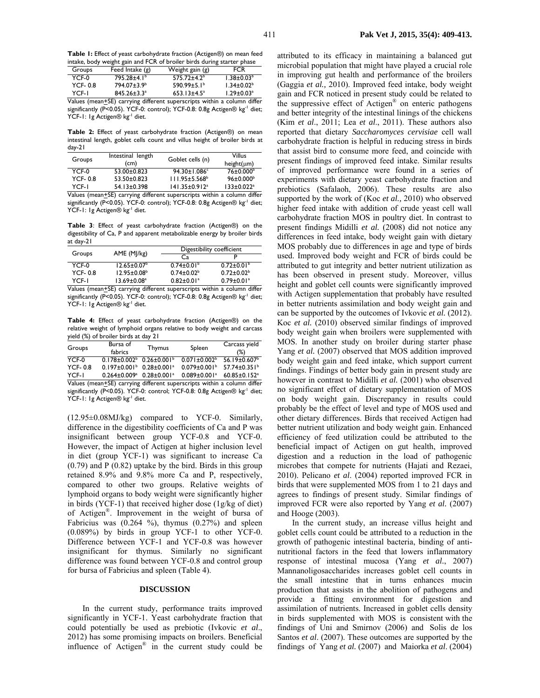**Table 1:** Effect of yeast carbohydrate fraction (Actigen®) on mean feed intake, body weight gain and FCR of broiler birds during starter phase

| Groups    | Feed Intake $(g)$       | Weight gain (g)               | <b>FCR</b>                   |
|-----------|-------------------------|-------------------------------|------------------------------|
| YCF-0     | $795.28 \pm 4.1^b$      | $575.72 \pm 4.2^b$            | $1.38 \pm 0.03^b$            |
| $YCF-0.8$ | 794.07±3.9 <sup>b</sup> | 590.99 $\pm$ 5.1 <sup>b</sup> | $1.34 \pm 0.02^b$            |
| YCF-I     | $845.26 \pm 3.3^a$      | $653.13 \pm 4.5^a$            | $1.29 \pm 0.03$ <sup>a</sup> |
| .         | $\cdots$                | $\blacksquare$                |                              |

Values (mean<sup>+</sup>SE) carrying different superscripts within a column differ significantly (P<0.05). YCF-0: control); YCF-0.8: 0.8g Actigen® kg<sup>-1</sup> diet; YCF-1: 1g Actigen® kg<sup>-1</sup> diet.

**Table 2:** Effect of yeast carbohydrate fraction (Actigen®) on mean intestinal length, goblet cells count and villus height of broiler birds at day-21

| Groups         | Intestinal length<br>(cm) | Goblet cells (n)               | Villus<br>$height(\mu m)$    |
|----------------|---------------------------|--------------------------------|------------------------------|
| YCF-0          | $53.00 \pm 0.823$         | $94.30 \pm 1.086$ <sup>c</sup> | $76 \pm 0.000$ <sup>b</sup>  |
| <b>YCF-0.8</b> | 53.50±0.823               | $111.95 \pm 5.568^b$           | $96 \pm 0.000^{\circ}$       |
| YCF-I          | 54.13±0.398               | 141.35±0.912 <sup>a</sup>      | $133 \pm 0.022$ <sup>a</sup> |
| .              | <br>$-$                   |                                |                              |

Values (mean<sup>+</sup>SE) carrying different superscripts within a column differ significantly (P<0.05). YCF-0: control); YCF-0.8: 0.8g Actigen® kg<sup>-1</sup> diet; YCF-1: 1g Actigen® kg<sup>-1</sup> diet.

**Table 3**: Effect of yeast carbohydrate fraction (Actigen®) on the digestibility of Ca, P and apparent metabolizable energy by broiler birds at day-21

|                | AME (MJ/kg)              | Digestibility coefficient    |                                                                                                                                                                                                                               |
|----------------|--------------------------|------------------------------|-------------------------------------------------------------------------------------------------------------------------------------------------------------------------------------------------------------------------------|
| Groups         |                          | Cа                           |                                                                                                                                                                                                                               |
| YCF-0          | $12.65 \pm 0.07^{\circ}$ | $0.74 \pm 0.01$ <sup>b</sup> | $0.72 \pm 0.01$ <sup>b</sup>                                                                                                                                                                                                  |
| <b>YCF-0.8</b> | $12.95 \pm 0.08^{\circ}$ | $0.74 \pm 0.02^b$            | $0.72 \pm 0.02^b$                                                                                                                                                                                                             |
| YCF-I          | $13.69 \pm 0.08^a$       | $0.82 \pm 0.01$ <sup>a</sup> | $0.79 \pm 0.01$ <sup>a</sup>                                                                                                                                                                                                  |
|                | \/-l / . CF\  JM         |                              | the company of the control of the company of the company of the company of the company of the company of the company of the company of the company of the company of the company of the company of the company of the company |

Values (mean<sup>+</sup>SE) carrying different superscripts within a column differ significantly (P<0.05). YCF-0: control); YCF-0.8: 0.8g Actigen® kg<sup>-1</sup> diet; YCF-1: 1g Actigen® kg<sup>-1</sup> diet.

**Table 4:** Effect of yeast carbohydrate fraction (Actigen®) on the relative weight of lymphoid organs relative to body weight and carcass yield (%) of broiler birds at day 21

| Groups                                                                       | Bursa of<br>fabrics                                | <b>Thymus</b>                 | Spleen                         | Carcass yield<br>(%)           |
|------------------------------------------------------------------------------|----------------------------------------------------|-------------------------------|--------------------------------|--------------------------------|
| YCF-0                                                                        | $0.178 \pm 0.002^{\circ}$ 0.26 ± 0.00   $^{\circ}$ |                               | $0.071 \pm 0.002^b$            | $56.19 \pm 0.607$              |
| <b>YCF-0.8</b>                                                               | $0.197 \pm 0.001^{\circ}$ 0.28 $\pm 0.001^{\circ}$ |                               | $0.079 \pm 0.001$ <sup>b</sup> | 57.74±0.35 $1^{\circ}$         |
| YCF-I                                                                        | $0.264 \pm 0.009$ <sup>a</sup>                     | $0.28 \pm 0.001$ <sup>a</sup> | $0.089 \pm 0.001$ <sup>a</sup> | $60.85 \pm 0.152$ <sup>a</sup> |
| Values (messa (CF), semains aliffenent eus emenicte uniden a salumes aliffen |                                                    |                               |                                |                                |

Values (mean+SE) carrying different superscripts within a column different significantly (P<0.05). YCF-0: control; YCF-0.8: 0.8g Actigen® kg<sup>-1</sup> diet; YCF-1: 1g Actigen® kg<sup>-1</sup> diet.

(12.95±0.08MJ/kg) compared to YCF-0. Similarly, difference in the digestibility coefficients of Ca and P was insignificant between group YCF-0.8 and YCF-0. However, the impact of Actigen at higher inclusion level in diet (group YCF-1) was significant to increase Ca (0.79) and P (0.82) uptake by the bird. Birds in this group retained 8.9% and 9.8% more Ca and P, respectively, compared to other two groups. Relative weights of lymphoid organs to body weight were significantly higher in birds (YCF-1) that received higher dose (1g/kg of diet) of Actigen®. Improvement in the weight of bursa of Fabricius was  $(0.264 \%)$ , thymus  $(0.27%)$  and spleen (0.089%) by birds in group YCF-1 to other YCF-0. Difference between YCF-1 and YCF-0.8 was however insignificant for thymus. Similarly no significant difference was found between YCF-0.8 and control group for bursa of Fabricius and spleen (Table 4).

#### **DISCUSSION**

In the current study, performance traits improved significantly in YCF-1. Yeast carbohydrate fraction that could potentially be used as prebiotic (Ivkovic *et al*., 2012) has some promising impacts on broilers. Beneficial influence of Actigen® in the current study could be

attributed to its efficacy in maintaining a balanced gut microbial population that might have played a crucial role in improving gut health and performance of the broilers (Gaggia *et al.,* 2010). Improved feed intake, body weight gain and FCR noticed in present study could be related to the suppressive effect of Actigen® on enteric pathogens and better integrity of the intestinal linings of the chickens (Kim *et al*., 2011; Lea *et al*., 2011). These authors also reported that dietary *Saccharomyces cervisiae* cell wall carbohydrate fraction is helpful in reducing stress in birds that assist bird to consume more feed, and coincide with present findings of improved feed intake. Similar results of improved performance were found in a series of experiments with dietary yeast carbohydrate fraction and prebiotics (Safalaoh, 2006). These results are also supported by the work of (Koc *et al.,* 2010) who observed higher feed intake with addition of crude yeast cell wall carbohydrate fraction MOS in poultry diet. In contrast to present findings Midilli *et al.* (2008) did not notice any differences in feed intake, body weight gain with dietary MOS probably due to differences in age and type of birds used. Improved body weight and FCR of birds could be attributed to gut integrity and better nutrient utilization as has been observed in present study. Moreover, villus height and goblet cell counts were significantly improved with Actigen supplementation that probably have resulted in better nutrients assimilation and body weight gain and can be supported by the outcomes of Ivkovic *et al.* (2012). Koc *et al.* (2010) observed similar findings of improved body weight gain when broilers were supplemented with MOS. In another study on broiler during starter phase Yang et al. (2007) observed that MOS addition improved body weight gain and feed intake, which support current findings. Findings of better body gain in present study are however in contrast to Midilli *et al.* (2001) who observed no significant effect of dietary supplementation of MOS on body weight gain. Discrepancy in results could probably be the effect of level and type of MOS used and other dietary differences. Birds that received Actigen had better nutrient utilization and body weight gain. Enhanced efficiency of feed utilization could be attributed to the beneficial impact of Actigen on gut health, improved digestion and a reduction in the load of pathogenic microbes that compete for nutrients (Hajati and Rezaei, 2010). Pelicano *et al*. (2004) reported improved FCR in birds that were supplemented MOS from 1 to 21 days and agrees to findings of present study. Similar findings of improved FCR were also reported by Yang *et al.* (2007) and Hooge (2003).

In the current study, an increase villus height and goblet cells count could be attributed to a reduction in the growth of pathogenic intestinal bacteria, binding of antinutritional factors in the feed that lowers inflammatory response of intestinal mucosa (Yang *et al.*, 2007) Mannanoligosaccharides increases goblet cell counts in the small intestine that in turns enhances mucin production that assists in the abolition of pathogens and provide a fitting environment for digestion and assimilation of nutrients. Increased in goblet cells density in birds supplemented with MOS is consistent with the findings of Uni and Smirnov (2006) and Solis de los Santos *et al*. (2007). These outcomes are supported by the findings of Yang *et al.* (2007) and Maiorka *et al*. (2004)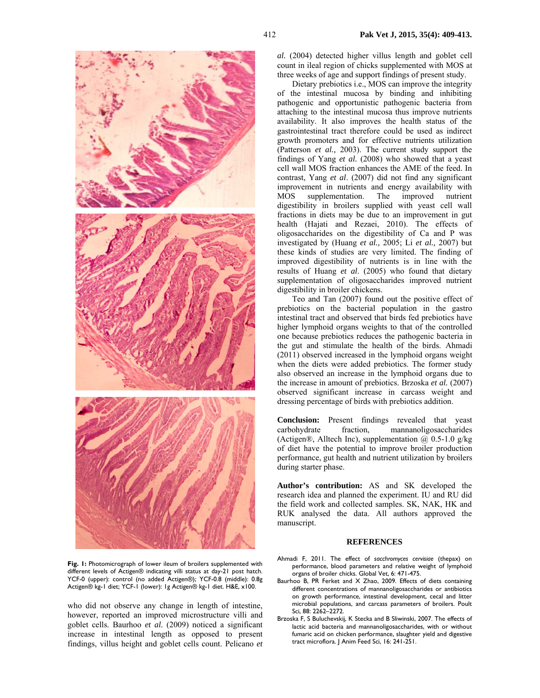

**Fig. 1:** Photomicrograph of lower ileum of broilers supplemented with different levels of Actigen® indicating villi status at day-21 post hatch. YCF-0 (upper): control (no added Actigen®); YCF-0.8 (middle): 0.8g Actigen® kg-1 diet; YCF-1 (lower): 1g Actigen® kg-1 diet. H&E, x100.

who did not observe any change in length of intestine, however, reported an improved microstructure villi and goblet cells. Baurhoo *et al.* (2009) noticed a significant increase in intestinal length as opposed to present findings, villus height and goblet cells count. Pelicano *et* 

412 **Pak Vet J, 2015, 35(4): 409-413.**

*al.* (2004) detected higher villus length and goblet cell count in ileal region of chicks supplemented with MOS at three weeks of age and support findings of present study.

Dietary prebiotics i.e., MOS can improve the integrity of the intestinal mucosa by binding and inhibiting pathogenic and opportunistic pathogenic bacteria from attaching to the intestinal mucosa thus improve nutrients availability. It also improves the health status of the gastrointestinal tract therefore could be used as indirect growth promoters and for effective nutrients utilization (Patterson *et al.,* 2003). The current study support the findings of Yang *et al.* (2008) who showed that a yeast cell wall MOS fraction enhances the AME of the feed. In contrast, Yang *et al*. (2007) did not find any significant improvement in nutrients and energy availability with<br>MOS supplementation. The improved nutrient supplementation. The improved nutrient digestibility in broilers supplied with yeast cell wall fractions in diets may be due to an improvement in gut health (Hajati and Rezaei, 2010). The effects of oligosaccharides on the digestibility of Ca and P was investigated by (Huang *et al.,* 2005; Li *et al.,* 2007) but these kinds of studies are very limited. The finding of improved digestibility of nutrients is in line with the results of Huang *et al*. (2005) who found that dietary supplementation of oligosaccharides improved nutrient digestibility in broiler chickens.

Teo and Tan (2007) found out the positive effect of prebiotics on the bacterial population in the gastro intestinal tract and observed that birds fed prebiotics have higher lymphoid organs weights to that of the controlled one because prebiotics reduces the pathogenic bacteria in the gut and stimulate the health of the birds. Ahmadi (2011) observed increased in the lymphoid organs weight when the diets were added prebiotics. The former study also observed an increase in the lymphoid organs due to the increase in amount of prebiotics. Brzoska *et al.* (2007) observed significant increase in carcass weight and dressing percentage of birds with prebiotics addition.

**Conclusion:** Present findings revealed that yeast carbohydrate fraction, mannanoligosaccharides (Actigen®, Alltech Inc), supplementation  $\omega$  0.5-1.0 g/kg of diet have the potential to improve broiler production performance, gut health and nutrient utilization by broilers during starter phase.

**Author's contribution:** AS and SK developed the research idea and planned the experiment. IU and RU did the field work and collected samples. SK, NAK, HK and RUK analysed the data. All authors approved the manuscript.

#### **REFERENCES**

- Ahmadi F, 2011. The effect of *sacchromyces cervisiae* (thepax) on performance, blood parameters and relative weight of lymphoid organs of broiler chicks. Global Vet, 6: 471-475.
- Baurhoo B, PR Ferket and X Zhao, 2009. Effects of diets containing different concentrations of mannanoligosaccharides or antibiotics on growth performance, intestinal development, cecal and litter microbial populations, and carcass parameters of broilers. Poult Sci, 88: 2262–2272.
- Brzoska F, S Buluchevskij, K Stecka and B Sliwinski, 2007. The effects of lactic acid bacteria and mannanoligosaccharides, with or without fumaric acid on chicken performance, slaughter yield and digestive tract microflora. J Anim Feed Sci, 16: 241-251.